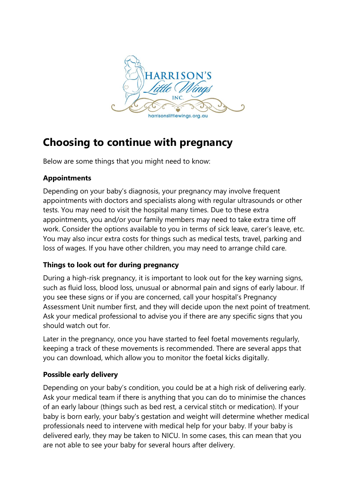

# **Choosing to continue with pregnancy**

Below are some things that you might need to know:

## **Appointments**

Depending on your baby's diagnosis, your pregnancy may involve frequent appointments with doctors and specialists along with regular ultrasounds or other tests. You may need to visit the hospital many times. Due to these extra appointments, you and/or your family members may need to take extra time off work. Consider the options available to you in terms of sick leave, carer's leave, etc. You may also incur extra costs for things such as medical tests, travel, parking and loss of wages. If you have other children, you may need to arrange child care.

## **Things to look out for during pregnancy**

During a high-risk pregnancy, it is important to look out for the key warning signs, such as fluid loss, blood loss, unusual or abnormal pain and signs of early labour. If you see these signs or if you are concerned, call your hospital's Pregnancy Assessment Unit number first, and they will decide upon the next point of treatment. Ask your medical professional to advise you if there are any specific signs that you should watch out for.

Later in the pregnancy, once you have started to feel foetal movements regularly, keeping a track of these movements is recommended. There are several apps that you can download, which allow you to monitor the foetal kicks digitally.

# **Possible early delivery**

Depending on your baby's condition, you could be at a high risk of delivering early. Ask your medical team if there is anything that you can do to minimise the chances of an early labour (things such as bed rest, a cervical stitch or medication). If your baby is born early, your baby's gestation and weight will determine whether medical professionals need to intervene with medical help for your baby. If your baby is delivered early, they may be taken to NICU. In some cases, this can mean that you are not able to see your baby for several hours after delivery.